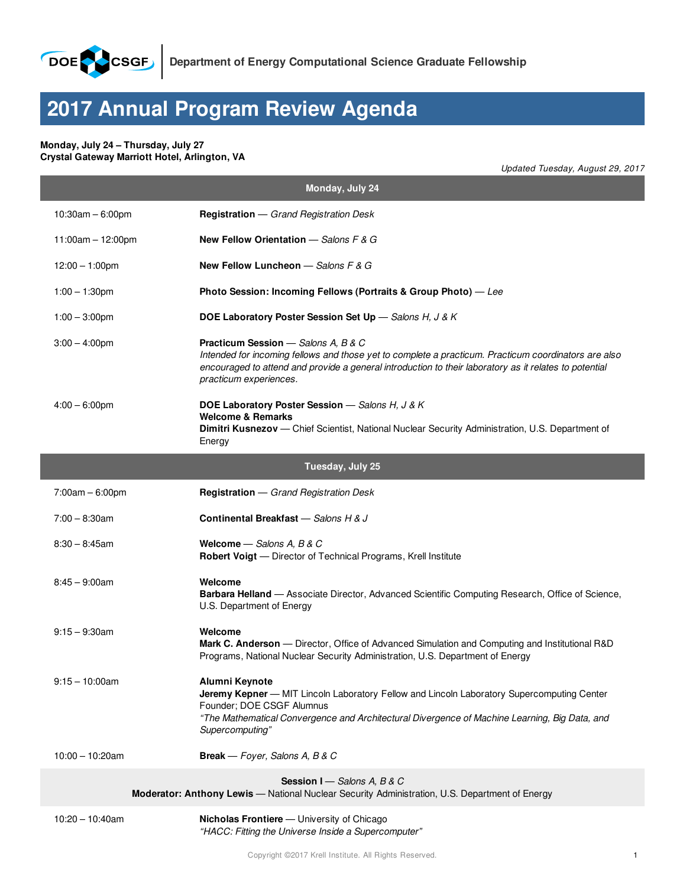

## **2017 Annual Program Review Agenda**

## **Monday, July 24 – Thursday, July 27 Crystal Gateway Marriott Hotel, Arlington, VA**

*Updated Tuesday, August 29, 2017*

| Monday, July 24                                                                                                               |                                                                                                                                                                                                                                                                                        |  |
|-------------------------------------------------------------------------------------------------------------------------------|----------------------------------------------------------------------------------------------------------------------------------------------------------------------------------------------------------------------------------------------------------------------------------------|--|
| $10:30am - 6:00pm$                                                                                                            | <b>Registration</b> - Grand Registration Desk                                                                                                                                                                                                                                          |  |
| $11:00am - 12:00pm$                                                                                                           | New Fellow Orientation $-$ Salons F & G                                                                                                                                                                                                                                                |  |
| $12:00 - 1:00 \text{pm}$                                                                                                      | New Fellow Luncheon $-$ Salons F & G                                                                                                                                                                                                                                                   |  |
| $1:00 - 1:30$ pm                                                                                                              | Photo Session: Incoming Fellows (Portraits & Group Photo) - Lee                                                                                                                                                                                                                        |  |
| $1:00 - 3:00$ pm                                                                                                              | <b>DOE Laboratory Poster Session Set Up</b> - Salons H, J & K                                                                                                                                                                                                                          |  |
| $3:00 - 4:00$ pm                                                                                                              | <b>Practicum Session</b> - Salons A, B & C<br>Intended for incoming fellows and those yet to complete a practicum. Practicum coordinators are also<br>encouraged to attend and provide a general introduction to their laboratory as it relates to potential<br>practicum experiences. |  |
| $4:00 - 6:00$ pm                                                                                                              | DOE Laboratory Poster Session - Salons H, J & K<br><b>Welcome &amp; Remarks</b>                                                                                                                                                                                                        |  |
|                                                                                                                               | Dimitri Kusnezov - Chief Scientist, National Nuclear Security Administration, U.S. Department of<br>Energy                                                                                                                                                                             |  |
|                                                                                                                               | Tuesday, July 25                                                                                                                                                                                                                                                                       |  |
| $7:00am - 6:00pm$                                                                                                             | <b>Registration</b> - Grand Registration Desk                                                                                                                                                                                                                                          |  |
| $7:00 - 8:30$ am                                                                                                              | Continental Breakfast - Salons H & J                                                                                                                                                                                                                                                   |  |
| $8:30 - 8:45$ am                                                                                                              | Welcome $-$ Salons A, B & C<br>Robert Voigt - Director of Technical Programs, Krell Institute                                                                                                                                                                                          |  |
| $8:45 - 9:00am$                                                                                                               | Welcome<br>Barbara Helland - Associate Director, Advanced Scientific Computing Research, Office of Science,<br>U.S. Department of Energy                                                                                                                                               |  |
| $9:15 - 9:30$ am                                                                                                              | Welcome<br>Mark C. Anderson - Director, Office of Advanced Simulation and Computing and Institutional R&D<br>Programs, National Nuclear Security Administration, U.S. Department of Energy                                                                                             |  |
| $9:15 - 10:00$ am                                                                                                             | Alumni Keynote<br>Jeremy Kepner - MIT Lincoln Laboratory Fellow and Lincoln Laboratory Supercomputing Center<br>Founder; DOE CSGF Alumnus<br>"The Mathematical Convergence and Architectural Divergence of Machine Learning, Big Data, and<br>Supercomputing"                          |  |
| $10:00 - 10:20am$                                                                                                             | Break - Foyer, Salons A, B & C                                                                                                                                                                                                                                                         |  |
| Session I - Salons A, B & C<br>Moderator: Anthony Lewis — National Nuclear Security Administration, U.S. Department of Energy |                                                                                                                                                                                                                                                                                        |  |
| $10:20 - 10:40$ am                                                                                                            | Nicholas Frontiere - University of Chicago                                                                                                                                                                                                                                             |  |

*"HACC: Fitting the Universe Inside a Supercomputer"*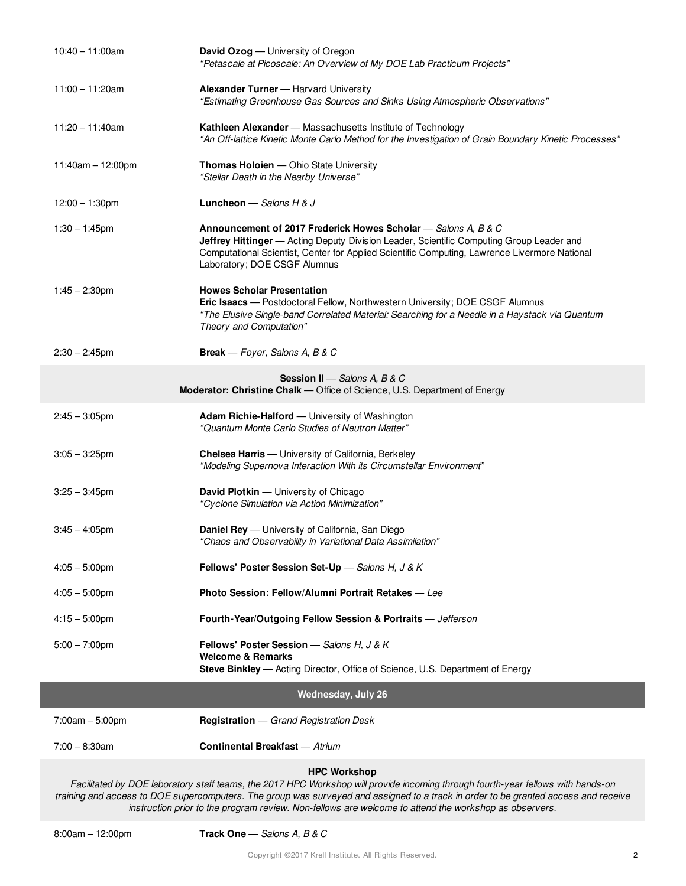| $10:40 - 11:00$ am                                                                                        | <b>David Ozog</b> — University of Oregon<br>"Petascale at Picoscale: An Overview of My DOE Lab Practicum Projects"                                                                                                                                                                          |  |
|-----------------------------------------------------------------------------------------------------------|---------------------------------------------------------------------------------------------------------------------------------------------------------------------------------------------------------------------------------------------------------------------------------------------|--|
| $11:00 - 11:20am$                                                                                         | <b>Alexander Turner</b> - Harvard University<br>"Estimating Greenhouse Gas Sources and Sinks Using Atmospheric Observations"                                                                                                                                                                |  |
| $11:20 - 11:40$ am                                                                                        | Kathleen Alexander - Massachusetts Institute of Technology<br>"An Off-lattice Kinetic Monte Carlo Method for the Investigation of Grain Boundary Kinetic Processes"                                                                                                                         |  |
| $11:40am - 12:00pm$                                                                                       | <b>Thomas Holoien</b> - Ohio State University<br>"Stellar Death in the Nearby Universe"                                                                                                                                                                                                     |  |
| $12:00 - 1:30$ pm                                                                                         | <b>Luncheon</b> $-$ Salons H & J                                                                                                                                                                                                                                                            |  |
| $1:30 - 1:45$ pm                                                                                          | Announcement of 2017 Frederick Howes Scholar - Salons A, B & C<br>Jeffrey Hittinger - Acting Deputy Division Leader, Scientific Computing Group Leader and<br>Computational Scientist, Center for Applied Scientific Computing, Lawrence Livermore National<br>Laboratory; DOE CSGF Alumnus |  |
| $1:45 - 2:30$ pm                                                                                          | <b>Howes Scholar Presentation</b><br>Eric Isaacs - Postdoctoral Fellow, Northwestern University; DOE CSGF Alumnus<br>"The Elusive Single-band Correlated Material: Searching for a Needle in a Haystack via Quantum<br>Theory and Computation"                                              |  |
| $2:30 - 2:45$ pm                                                                                          | <b>Break</b> — Foyer, Salons A, B & C                                                                                                                                                                                                                                                       |  |
| Session II - Salons A, B & C<br>Moderator: Christine Chalk - Office of Science, U.S. Department of Energy |                                                                                                                                                                                                                                                                                             |  |
| $2:45 - 3:05$ pm                                                                                          | <b>Adam Richie-Halford</b> — University of Washington<br>"Quantum Monte Carlo Studies of Neutron Matter"                                                                                                                                                                                    |  |
| $3:05 - 3:25$ pm                                                                                          | <b>Chelsea Harris</b> - University of California, Berkeley<br>"Modeling Supernova Interaction With its Circumstellar Environment"                                                                                                                                                           |  |
| $3:25 - 3:45$ pm                                                                                          | David Plotkin - University of Chicago<br>"Cyclone Simulation via Action Minimization"                                                                                                                                                                                                       |  |
| $3:45 - 4:05$ pm                                                                                          | <b>Daniel Rey</b> — University of California, San Diego<br>"Chaos and Observability in Variational Data Assimilation"                                                                                                                                                                       |  |
| $4:05 - 5:00$ pm                                                                                          | Fellows' Poster Session Set-Up - Salons H, J & K                                                                                                                                                                                                                                            |  |
| $4:05 - 5:00$ pm                                                                                          | Photo Session: Fellow/Alumni Portrait Retakes - Lee                                                                                                                                                                                                                                         |  |
| $4:15 - 5:00$ pm                                                                                          | Fourth-Year/Outgoing Fellow Session & Portraits - Jefferson                                                                                                                                                                                                                                 |  |
| $5:00 - 7:00$ pm                                                                                          | Fellows' Poster Session - Salons H, J & K<br><b>Welcome &amp; Remarks</b><br>Steve Binkley — Acting Director, Office of Science, U.S. Department of Energy                                                                                                                                  |  |
| <b>Wednesday, July 26</b>                                                                                 |                                                                                                                                                                                                                                                                                             |  |
| $7:00am - 5:00pm$                                                                                         | <b>Registration</b> - Grand Registration Desk                                                                                                                                                                                                                                               |  |
| $7:00 - 8:30$ am                                                                                          | <b>Continental Breakfast - Atrium</b>                                                                                                                                                                                                                                                       |  |
| <b>HPC Workshop</b>                                                                                       |                                                                                                                                                                                                                                                                                             |  |

Facilitated by DOE laboratory staff teams, the 2017 HPC Workshop will provide incoming through fourth-year fellows with hands-on training and access to DOE supercomputers. The group was surveyed and assigned to a track in order to be granted access and receive *instruction prior to the program review. Non-fellows are welcome to attend the workshop as observers.*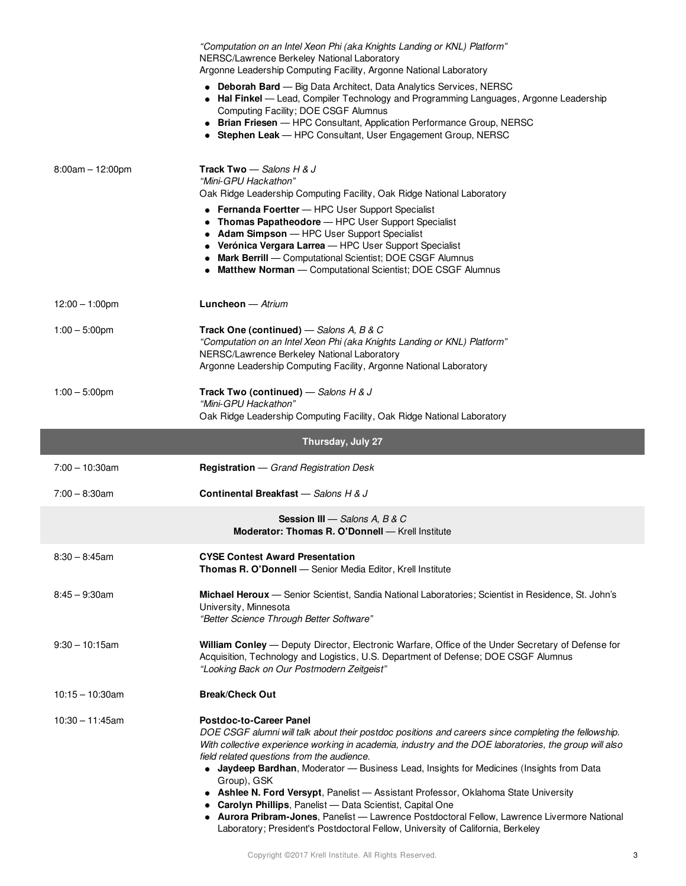|                          | "Computation on an Intel Xeon Phi (aka Knights Landing or KNL) Platform"<br>NERSC/Lawrence Berkeley National Laboratory<br>Argonne Leadership Computing Facility, Argonne National Laboratory                                                                                                                                                                                                                                                                                    |
|--------------------------|----------------------------------------------------------------------------------------------------------------------------------------------------------------------------------------------------------------------------------------------------------------------------------------------------------------------------------------------------------------------------------------------------------------------------------------------------------------------------------|
|                          | • Deborah Bard - Big Data Architect, Data Analytics Services, NERSC<br>Hal Finkel - Lead, Compiler Technology and Programming Languages, Argonne Leadership<br>Computing Facility; DOE CSGF Alumnus<br>• Brian Friesen - HPC Consultant, Application Performance Group, NERSC<br>• Stephen Leak - HPC Consultant, User Engagement Group, NERSC                                                                                                                                   |
| $8:00am - 12:00pm$       | <b>Track Two</b> — Salons H & J<br>"Mini-GPU Hackathon"<br>Oak Ridge Leadership Computing Facility, Oak Ridge National Laboratory<br>• Fernanda Foertter - HPC User Support Specialist<br>Thomas Papatheodore - HPC User Support Specialist<br>• Adam Simpson - HPC User Support Specialist<br>• Verónica Vergara Larrea - HPC User Support Specialist<br>Mark Berrill - Computational Scientist; DOE CSGF Alumnus<br>Matthew Norman - Computational Scientist; DOE CSGF Alumnus |
| $12:00 - 1:00 \text{pm}$ | <b>Luncheon</b> $-$ Atrium                                                                                                                                                                                                                                                                                                                                                                                                                                                       |
| $1:00 - 5:00$ pm         | Track One (continued) – Salons A, B & C<br>"Computation on an Intel Xeon Phi (aka Knights Landing or KNL) Platform"<br>NERSC/Lawrence Berkeley National Laboratory<br>Argonne Leadership Computing Facility, Argonne National Laboratory                                                                                                                                                                                                                                         |
| $1:00 - 5:00$ pm         | Track Two (continued) - Salons H & J<br>"Mini-GPU Hackathon"<br>Oak Ridge Leadership Computing Facility, Oak Ridge National Laboratory                                                                                                                                                                                                                                                                                                                                           |
|                          | Thursday, July 27                                                                                                                                                                                                                                                                                                                                                                                                                                                                |
| $7:00 - 10:30$ am        | <b>Registration</b> - Grand Registration Desk                                                                                                                                                                                                                                                                                                                                                                                                                                    |
| $7:00 - 8:30$ am         | Continental Breakfast - Salons H & J                                                                                                                                                                                                                                                                                                                                                                                                                                             |
|                          | <b>Session III</b> - Salons A, B & C<br>Moderator: Thomas R. O'Donnell - Krell Institute                                                                                                                                                                                                                                                                                                                                                                                         |
| $8:30 - 8:45$ am         | <b>CYSE Contest Award Presentation</b><br>Thomas R. O'Donnell - Senior Media Editor, Krell Institute                                                                                                                                                                                                                                                                                                                                                                             |
| $8:45 - 9:30$ am         | Michael Heroux - Senior Scientist, Sandia National Laboratories; Scientist in Residence, St. John's<br>University, Minnesota<br>"Better Science Through Better Software"                                                                                                                                                                                                                                                                                                         |
| $9:30 - 10:15$ am        | William Conley — Deputy Director, Electronic Warfare, Office of the Under Secretary of Defense for<br>Acquisition, Technology and Logistics, U.S. Department of Defense; DOE CSGF Alumnus<br>"Looking Back on Our Postmodern Zeitgeist"                                                                                                                                                                                                                                          |
| $10:15 - 10:30$ am       | <b>Break/Check Out</b>                                                                                                                                                                                                                                                                                                                                                                                                                                                           |
| $10:30 - 11:45$ am       | <b>Postdoc-to-Career Panel</b><br>DOE CSGF alumni will talk about their postdoc positions and careers since completing the fellowship.                                                                                                                                                                                                                                                                                                                                           |